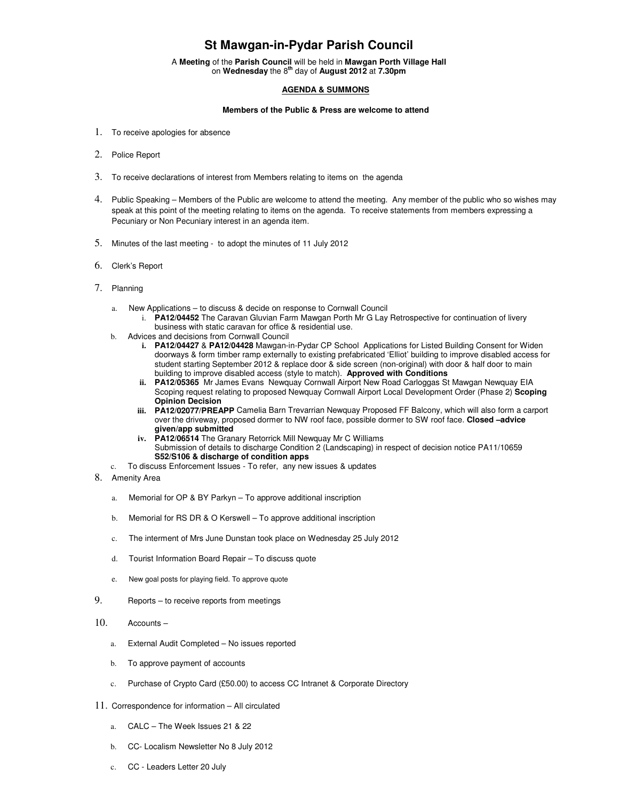## **St Mawgan-in-Pydar Parish Council**

A **Meeting** of the **Parish Council** will be held in **Mawgan Porth Village Hall** on **Wednesday** the 8**th** day of **August 2012** at **7.30pm** 

## **AGENDA & SUMMONS**

## **Members of the Public & Press are welcome to attend**

- 1. To receive apologies for absence
- 2. Police Report
- 3. To receive declarations of interest from Members relating to items on the agenda
- 4. Public Speaking Members of the Public are welcome to attend the meeting. Any member of the public who so wishes may speak at this point of the meeting relating to items on the agenda. To receive statements from members expressing a Pecuniary or Non Pecuniary interest in an agenda item.
- 5. Minutes of the last meeting to adopt the minutes of 11 July 2012
- 6. Clerk's Report
- 7. Planning
	- a. New Applications to discuss & decide on response to Cornwall Council
		- i. **PA12/04452** The Caravan Gluvian Farm Mawgan Porth Mr G Lay Retrospective for continuation of livery business with static caravan for office & residential use.
	- b. Advices and decisions from Cornwall Council
		- **i. PA12/04427** & **PA12/04428** Mawgan-in-Pydar CP School Applications for Listed Building Consent for Widen doorways & form timber ramp externally to existing prefabricated 'Elliot' building to improve disabled access for student starting September 2012 & replace door & side screen (non-original) with door & half door to main building to improve disabled access (style to match). **Approved with Conditions**
		- **ii. PA12/05365** Mr James Evans Newquay Cornwall Airport New Road Carloggas St Mawgan Newquay EIA Scoping request relating to proposed Newquay Cornwall Airport Local Development Order (Phase 2) **Scoping Opinion Decision**
		- **iii. PA12/02077/PREAPP** Camelia Barn Trevarrian Newquay Proposed FF Balcony, which will also form a carport over the driveway, proposed dormer to NW roof face, possible dormer to SW roof face. **Closed –advice given/app submitted**
		- **iv. PA12/06514** The Granary Retorrick Mill Newquay Mr C Williams Submission of details to discharge Condition 2 (Landscaping) in respect of decision notice PA11/10659 **S52/S106 & discharge of condition apps**
	- c. To discuss Enforcement Issues To refer, any new issues & updates
- 8. Amenity Area
	- a. Memorial for OP & BY Parkyn To approve additional inscription
	- b. Memorial for RS DR & O Kerswell To approve additional inscription
	- c. The interment of Mrs June Dunstan took place on Wednesday 25 July 2012
	- d. Tourist Information Board Repair To discuss quote
	- e. New goal posts for playing field. To approve quote
- 9. Reports to receive reports from meetings
- 10. Accounts
	- a. External Audit Completed No issues reported
	- b. To approve payment of accounts
	- c. Purchase of Crypto Card (£50.00) to access CC Intranet & Corporate Directory
- 11. Correspondence for information All circulated
	- a. CALC The Week Issues 21 & 22
	- b. CC- Localism Newsletter No 8 July 2012
	- c. CC Leaders Letter 20 July